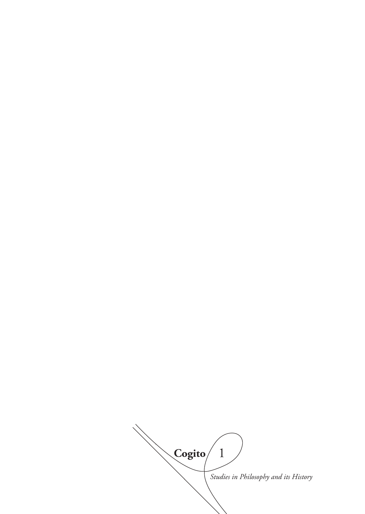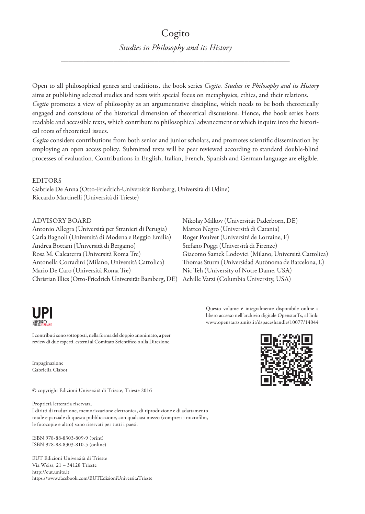# Cogito *Studies in Philosophy and its History*

\_\_\_\_\_\_\_\_\_\_\_\_\_\_\_\_\_\_\_\_\_\_\_\_\_\_\_\_\_\_\_\_\_\_\_\_\_\_\_\_\_\_\_\_\_\_\_\_\_\_\_\_\_\_\_\_\_\_\_\_\_

Open to all philosophical genres and traditions, the book series *Cogito. Studies in Philosophy and its History* aims at publishing selected studies and texts with special focus on metaphysics, ethics, and their relations. *Cogito* promotes a view of philosophy as an argumentative discipline, which needs to be both theoretically engaged and conscious of the historical dimension of theoretical discussions. Hence, the book series hosts readable and accessible texts, which contribute to philosophical advancement or which inquire into the historical roots of theoretical issues.

*Cogito* considers contributions from both senior and junior scholars, and promotes scientific dissemination by employing an open access policy. Submitted texts will be peer reviewed according to standard double-blind processes of evaluation. Contributions in English, Italian, French, Spanish and German language are eligible.

#### **EDITORS**

Gabriele De Anna (Otto-Friedrich-Universität Bamberg, Università di Udine) Riccardo Martinelli (Università di Trieste)

#### ADVISORY BOARD

Antonio Allegra (Università per Stranieri di Perugia) Carla Bagnoli (Università di Modena e Reggio Emilia) Andrea Bottani (Università di Bergamo) Rosa M. Calcaterra (Università Roma Tre) Antonella Corradini (Milano, Università Cattolica) Mario De Caro (Università Roma Tre) Christian Illies (Otto-Friedrich Universität Bamberg, DE)



I contributi sono sottoposti, nella forma del doppio anonimato, a peer review di due esperti, esterni al Comitato Scientifico o alla Direzione.

Impaginazione Gabriella Clabot

© copyright Edizioni Università di Trieste, Trieste 2016

Proprietà letteraria riservata.

I diritti di traduzione, memorizzazione elettronica, di riproduzione e di adattamento totale e parziale di questa pubblicazione, con qualsiasi mezzo (compresi i microfilm, le fotocopie e altro) sono riservati per tutti i paesi.

ISBN 978-88-8303-809-9 (print) ISBN 978-88-8303-810-5 (online)

EUT Edizioni Università di Trieste Via Weiss, 21 – 34128 Trieste http://eut.units.it https://www.facebook.com/EUTEdizioniUniversitaTrieste Nikolay Milkov (Universität Paderborn, DE) Matteo Negro (Università di Catania) Roger Pouivet (Université de Lorraine, F) Stefano Poggi (Università di Firenze) Giacomo Samek Lodovici (Milano, Università Cattolica) Thomas Sturm (Universidad Autònoma de Barcelona, E) Nic Teh (University of Notre Dame, USA) Achille Varzi (Columbia University, USA)

> Questo volume è integralmente disponibile online a libero accesso nell'archivio digitale OpenstarTs, al link: www.openstarts.units.it/dspace/handle/10077/14044

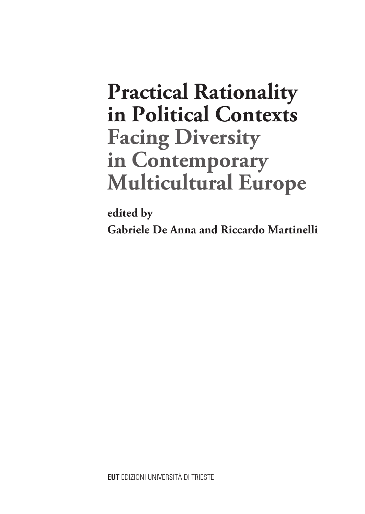# **Practical Rationality in Political Contexts Facing Diversity in Contemporary Multicultural Europe**

**edited by Gabriele De Anna and Riccardo Martinelli**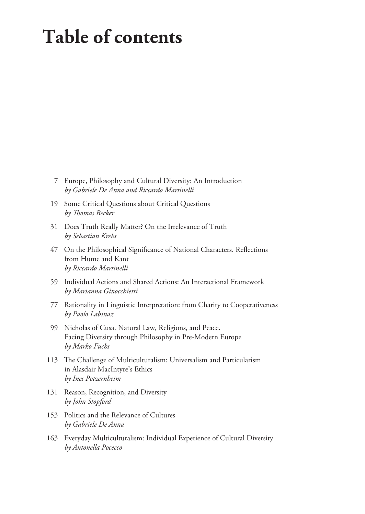# **Table of contents**

- 7 Europe, Philosophy and Cultural Diversity: An Introduction *by Gabriele De Anna and Riccardo Martinelli*
- 19 Some Critical Questions about Critical Questions *by Thomas Becker*
- 31 Does Truth Really Matter? On the Irrelevance of Truth *by Sebastian Krebs*
- 47 On the Philosophical Significance of National Characters. Reflections from Hume and Kant *by Riccardo Martinelli*
- 59 Individual Actions and Shared Actions: An Interactional Framework *by Marianna Ginocchietti*
- 77 Rationality in Linguistic Interpretation: from Charity to Cooperativeness *by Paolo Labinaz*
- 99 Nicholas of Cusa. Natural Law, Religions, and Peace. Facing Diversity through Philosophy in Pre-Modern Europe *by Marko Fuchs*
- 113 The Challenge of Multiculturalism: Universalism and Particularism in Alasdair MacIntyre's Ethics *by Ines Potzernheim*
- 131 Reason, Recognition, and Diversity *by John Stopford*
- 153 Politics and the Relevance of Cultures *by Gabriele De Anna*
- 163 Everyday Multiculturalism: Individual Experience of Cultural Diversity *by Antonella Pocecco*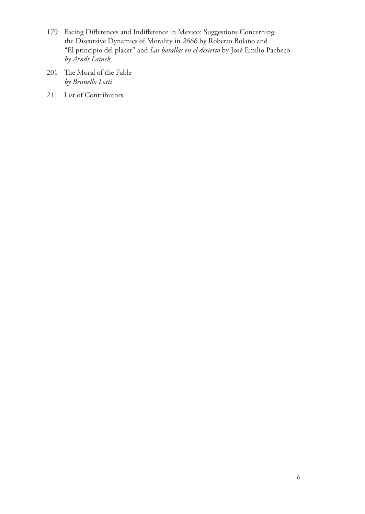- 179 Facing Differences and Indifference in Mexico: Suggestions Concerning the Discursive Dynamics of Morality in *2666* by Roberto Bolaño and "El principio del placer" and *Las batallas en el desierto* by José Emilio Pacheco *by Arndt Lainck*
- 201 The Moral of the Fable *by Brunello Lotti*
- 211 List of Contributors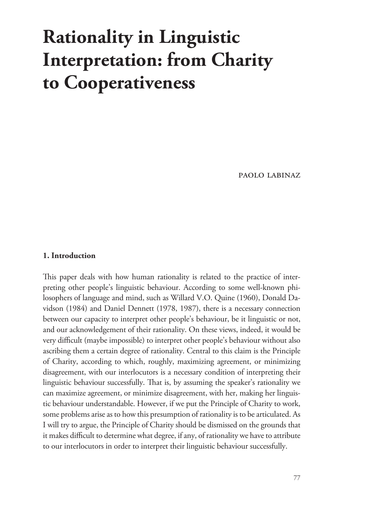# **Rationality in Linguistic Interpretation: from Charity to Cooperativeness**

paolo labinaz

### **1. Introduction**

This paper deals with how human rationality is related to the practice of interpreting other people's linguistic behaviour. According to some well-known philosophers of language and mind, such as Willard V.O. Quine (1960), Donald Davidson (1984) and Daniel Dennett (1978, 1987), there is a necessary connection between our capacity to interpret other people's behaviour, be it linguistic or not, and our acknowledgement of their rationality. On these views, indeed, it would be very difficult (maybe impossible) to interpret other people's behaviour without also ascribing them a certain degree of rationality. Central to this claim is the Principle of Charity, according to which, roughly, maximizing agreement, or minimizing disagreement, with our interlocutors is a necessary condition of interpreting their linguistic behaviour successfully. That is, by assuming the speaker's rationality we can maximize agreement, or minimize disagreement, with her, making her linguistic behaviour understandable. However, if we put the Principle of Charity to work, some problems arise as to how this presumption of rationality is to be articulated. As I will try to argue, the Principle of Charity should be dismissed on the grounds that it makes difficult to determine what degree, if any, of rationality we have to attribute to our interlocutors in order to interpret their linguistic behaviour successfully.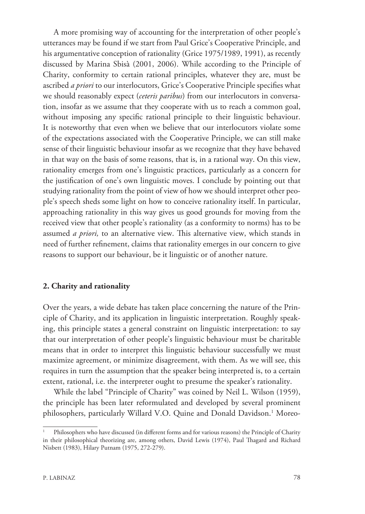A more promising way of accounting for the interpretation of other people's utterances may be found if we start from Paul Grice's Cooperative Principle, and his argumentative conception of rationality (Grice 1975/1989, 1991), as recently discussed by Marina Sbisà (2001, 2006). While according to the Principle of Charity, conformity to certain rational principles, whatever they are, must be ascribed *a priori* to our interlocutors, Grice's Cooperative Principle specifies what we should reasonably expect (*ceteris paribus*) from our interlocutors in conversation, insofar as we assume that they cooperate with us to reach a common goal, without imposing any specific rational principle to their linguistic behaviour. It is noteworthy that even when we believe that our interlocutors violate some of the expectations associated with the Cooperative Principle, we can still make sense of their linguistic behaviour insofar as we recognize that they have behaved in that way on the basis of some reasons, that is, in a rational way. On this view, rationality emerges from one's linguistic practices, particularly as a concern for the justification of one's own linguistic moves. I conclude by pointing out that studying rationality from the point of view of how we should interpret other people's speech sheds some light on how to conceive rationality itself. In particular, approaching rationality in this way gives us good grounds for moving from the received view that other people's rationality (as a conformity to norms) has to be assumed *a priori,* to an alternative view. This alternative view, which stands in need of further refinement, claims that rationality emerges in our concern to give reasons to support our behaviour, be it linguistic or of another nature.

### **2. Charity and rationality**

Over the years, a wide debate has taken place concerning the nature of the Principle of Charity, and its application in linguistic interpretation. Roughly speaking, this principle states a general constraint on linguistic interpretation: to say that our interpretation of other people's linguistic behaviour must be charitable means that in order to interpret this linguistic behaviour successfully we must maximize agreement, or minimize disagreement, with them. As we will see, this requires in turn the assumption that the speaker being interpreted is, to a certain extent, rational, i.e. the interpreter ought to presume the speaker's rationality.

While the label "Principle of Charity" was coined by Neil L. Wilson (1959), the principle has been later reformulated and developed by several prominent philosophers, particularly Willard V.O. Quine and Donald Davidson.<sup>1</sup> Moreo-

<sup>1</sup> Philosophers who have discussed (in different forms and for various reasons) the Principle of Charity in their philosophical theorizing are, among others, David Lewis (1974), Paul Thagard and Richard Nisbett (1983), Hilary Putnam (1975, 272-279).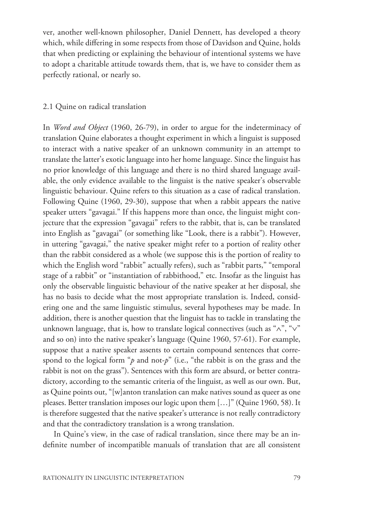ver, another well-known philosopher, Daniel Dennett, has developed a theory which, while differing in some respects from those of Davidson and Quine, holds that when predicting or explaining the behaviour of intentional systems we have to adopt a charitable attitude towards them, that is, we have to consider them as perfectly rational, or nearly so.

#### 2.1 Quine on radical translation

In *Word and Object* (1960, 26-79), in order to argue for the indeterminacy of translation Quine elaborates a thought experiment in which a linguist is supposed to interact with a native speaker of an unknown community in an attempt to translate the latter's exotic language into her home language. Since the linguist has no prior knowledge of this language and there is no third shared language available, the only evidence available to the linguist is the native speaker's observable linguistic behaviour. Quine refers to this situation as a case of radical translation. Following Quine (1960, 29-30), suppose that when a rabbit appears the native speaker utters "gavagai." If this happens more than once, the linguist might conjecture that the expression "gavagai" refers to the rabbit, that is, can be translated into English as "gavagai" (or something like "Look, there is a rabbit"). However, in uttering "gavagai," the native speaker might refer to a portion of reality other than the rabbit considered as a whole (we suppose this is the portion of reality to which the English word "rabbit" actually refers), such as "rabbit parts," "temporal stage of a rabbit" or "instantiation of rabbithood," etc. Insofar as the linguist has only the observable linguistic behaviour of the native speaker at her disposal, she has no basis to decide what the most appropriate translation is. Indeed, considering one and the same linguistic stimulus, several hypotheses may be made. In addition, there is another question that the linguist has to tackle in translating the unknown language, that is, how to translate logical connectives (such as "∧", "∨" and so on) into the native speaker's language (Quine 1960, 57-61). For example, suppose that a native speaker assents to certain compound sentences that correspond to the logical form "*p* and not-*p*" (i.e., "the rabbit is on the grass and the rabbit is not on the grass"). Sentences with this form are absurd, or better contradictory, according to the semantic criteria of the linguist, as well as our own. But, as Quine points out, "[w]anton translation can make natives sound as queer as one pleases. Better translation imposes our logic upon them […]" (Quine 1960, 58). It is therefore suggested that the native speaker's utterance is not really contradictory and that the contradictory translation is a wrong translation.

In Quine's view, in the case of radical translation, since there may be an indefinite number of incompatible manuals of translation that are all consistent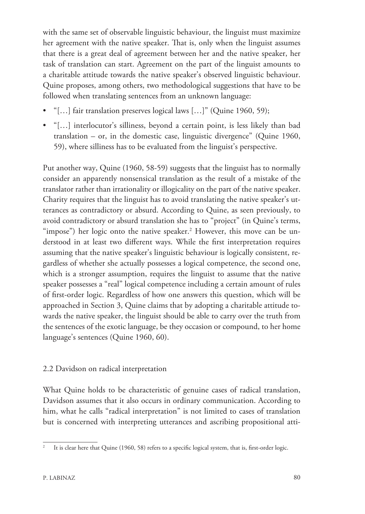with the same set of observable linguistic behaviour, the linguist must maximize her agreement with the native speaker. That is, only when the linguist assumes that there is a great deal of agreement between her and the native speaker, her task of translation can start. Agreement on the part of the linguist amounts to a charitable attitude towards the native speaker's observed linguistic behaviour. Quine proposes, among others, two methodological suggestions that have to be followed when translating sentences from an unknown language:

- "[...] fair translation preserves logical laws [...]" (Quine 1960, 59);
- "[…] interlocutor's silliness, beyond a certain point, is less likely than bad translation – or, in the domestic case, linguistic divergence" (Quine 1960, 59), where silliness has to be evaluated from the linguist's perspective.

Put another way, Quine (1960, 58-59) suggests that the linguist has to normally consider an apparently nonsensical translation as the result of a mistake of the translator rather than irrationality or illogicality on the part of the native speaker. Charity requires that the linguist has to avoid translating the native speaker's utterances as contradictory or absurd. According to Quine, as seen previously, to avoid contradictory or absurd translation she has to "project" (in Quine's terms,  $\lq$ "impose") her logic onto the native speaker. $^2$  However, this move can be understood in at least two different ways. While the first interpretation requires assuming that the native speaker's linguistic behaviour is logically consistent, regardless of whether she actually possesses a logical competence, the second one, which is a stronger assumption, requires the linguist to assume that the native speaker possesses a "real" logical competence including a certain amount of rules of first-order logic. Regardless of how one answers this question, which will be approached in Section 3, Quine claims that by adopting a charitable attitude towards the native speaker, the linguist should be able to carry over the truth from the sentences of the exotic language, be they occasion or compound, to her home language's sentences (Quine 1960, 60).

# 2.2 Davidson on radical interpretation

What Quine holds to be characteristic of genuine cases of radical translation, Davidson assumes that it also occurs in ordinary communication. According to him, what he calls "radical interpretation" is not limited to cases of translation but is concerned with interpreting utterances and ascribing propositional atti-

It is clear here that Quine (1960, 58) refers to a specific logical system, that is, first-order logic.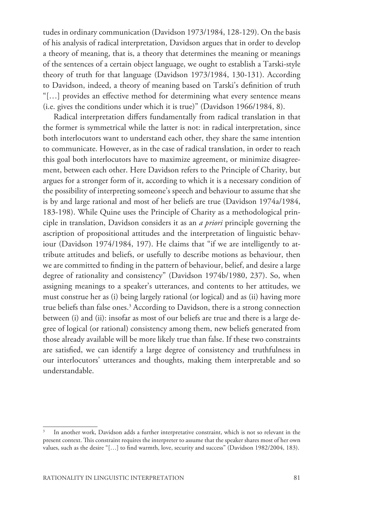tudes in ordinary communication (Davidson 1973/1984, 128-129). On the basis of his analysis of radical interpretation, Davidson argues that in order to develop a theory of meaning, that is, a theory that determines the meaning or meanings of the sentences of a certain object language, we ought to establish a Tarski-style theory of truth for that language (Davidson 1973/1984, 130-131). According to Davidson, indeed, a theory of meaning based on Tarski's definition of truth "[…] provides an effective method for determining what every sentence means (i.e. gives the conditions under which it is true)" (Davidson 1966/1984, 8).

Radical interpretation differs fundamentally from radical translation in that the former is symmetrical while the latter is not: in radical interpretation, since both interlocutors want to understand each other, they share the same intention to communicate. However, as in the case of radical translation, in order to reach this goal both interlocutors have to maximize agreement, or minimize disagreement, between each other. Here Davidson refers to the Principle of Charity, but argues for a stronger form of it, according to which it is a necessary condition of the possibility of interpreting someone's speech and behaviour to assume that she is by and large rational and most of her beliefs are true (Davidson 1974a/1984, 183-198). While Quine uses the Principle of Charity as a methodological principle in translation, Davidson considers it as an *a priori* principle governing the ascription of propositional attitudes and the interpretation of linguistic behaviour (Davidson 1974/1984, 197). He claims that "if we are intelligently to attribute attitudes and beliefs, or usefully to describe motions as behaviour, then we are committed to finding in the pattern of behaviour, belief, and desire a large degree of rationality and consistency" (Davidson 1974b/1980, 237). So, when assigning meanings to a speaker's utterances, and contents to her attitudes, we must construe her as (i) being largely rational (or logical) and as (ii) having more true beliefs than false ones.<sup>3</sup> According to Davidson, there is a strong connection between (i) and (ii): insofar as most of our beliefs are true and there is a large degree of logical (or rational) consistency among them, new beliefs generated from those already available will be more likely true than false. If these two constraints are satisfied, we can identify a large degree of consistency and truthfulness in our interlocutors' utterances and thoughts, making them interpretable and so understandable.

In another work, Davidson adds a further interpretative constraint, which is not so relevant in the present context. This constraint requires the interpreter to assume that the speaker shares most of her own values, such as the desire "[…] to find warmth, love, security and success" (Davidson 1982/2004, 183).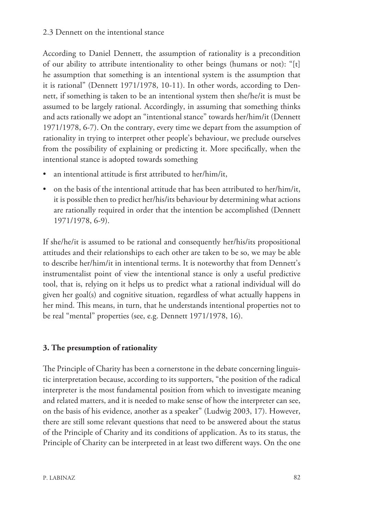According to Daniel Dennett, the assumption of rationality is a precondition of our ability to attribute intentionality to other beings (humans or not): "[t] he assumption that something is an intentional system is the assumption that it is rational" (Dennett 1971/1978, 10-11). In other words, according to Dennett, if something is taken to be an intentional system then she/he/it is must be assumed to be largely rational. Accordingly, in assuming that something thinks and acts rationally we adopt an "intentional stance" towards her/him/it (Dennett 1971/1978, 6-7). On the contrary, every time we depart from the assumption of rationality in trying to interpret other people's behaviour, we preclude ourselves from the possibility of explaining or predicting it. More specifically, when the intentional stance is adopted towards something

- an intentional attitude is first attributed to her/him/it,
- on the basis of the intentional attitude that has been attributed to her/him/it, it is possible then to predict her/his/its behaviour by determining what actions are rationally required in order that the intention be accomplished (Dennett 1971/1978, 6-9).

If she/he/it is assumed to be rational and consequently her/his/its propositional attitudes and their relationships to each other are taken to be so, we may be able to describe her/him/it in intentional terms. It is noteworthy that from Dennett's instrumentalist point of view the intentional stance is only a useful predictive tool, that is, relying on it helps us to predict what a rational individual will do given her goal(s) and cognitive situation, regardless of what actually happens in her mind. This means, in turn, that he understands intentional properties not to be real "mental" properties (see, e.g. Dennett 1971/1978, 16).

# **3. The presumption of rationality**

The Principle of Charity has been a cornerstone in the debate concerning linguistic interpretation because, according to its supporters, "the position of the radical interpreter is the most fundamental position from which to investigate meaning and related matters, and it is needed to make sense of how the interpreter can see, on the basis of his evidence, another as a speaker" (Ludwig 2003, 17). However, there are still some relevant questions that need to be answered about the status of the Principle of Charity and its conditions of application. As to its status, the Principle of Charity can be interpreted in at least two different ways. On the one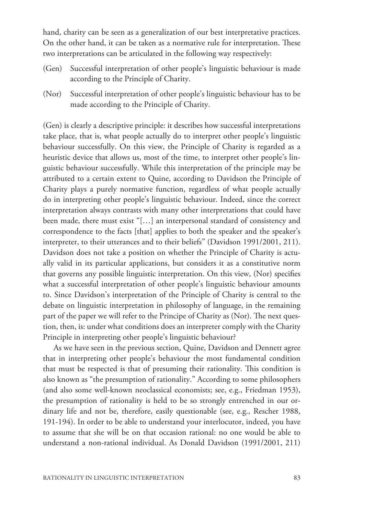hand, charity can be seen as a generalization of our best interpretative practices. On the other hand, it can be taken as a normative rule for interpretation. These two interpretations can be articulated in the following way respectively:

- (Gen) Successful interpretation of other people's linguistic behaviour is made according to the Principle of Charity.
- (Nor) Successful interpretation of other people's linguistic behaviour has to be made according to the Principle of Charity.

(Gen) is clearly a descriptive principle: it describes how successful interpretations take place, that is, what people actually do to interpret other people's linguistic behaviour successfully. On this view, the Principle of Charity is regarded as a heuristic device that allows us, most of the time, to interpret other people's linguistic behaviour successfully. While this interpretation of the principle may be attributed to a certain extent to Quine, according to Davidson the Principle of Charity plays a purely normative function, regardless of what people actually do in interpreting other people's linguistic behaviour. Indeed, since the correct interpretation always contrasts with many other interpretations that could have been made, there must exist "[…] an interpersonal standard of consistency and correspondence to the facts [that] applies to both the speaker and the speaker's interpreter, to their utterances and to their beliefs" (Davidson 1991/2001, 211). Davidson does not take a position on whether the Principle of Charity is actually valid in its particular applications, but considers it as a constitutive norm that governs any possible linguistic interpretation. On this view, (Nor) specifies what a successful interpretation of other people's linguistic behaviour amounts to. Since Davidson's interpretation of the Principle of Charity is central to the debate on linguistic interpretation in philosophy of language, in the remaining part of the paper we will refer to the Principe of Charity as (Nor). The next question, then, is: under what conditions does an interpreter comply with the Charity Principle in interpreting other people's linguistic behaviour?

As we have seen in the previous section, Quine, Davidson and Dennett agree that in interpreting other people's behaviour the most fundamental condition that must be respected is that of presuming their rationality. This condition is also known as "the presumption of rationality." According to some philosophers (and also some well-known neoclassical economists; see, e.g., Friedman 1953), the presumption of rationality is held to be so strongly entrenched in our ordinary life and not be, therefore, easily questionable (see, e.g., Rescher 1988, 191-194). In order to be able to understand your interlocutor, indeed, you have to assume that she will be on that occasion rational: no one would be able to understand a non-rational individual. As Donald Davidson (1991/2001, 211)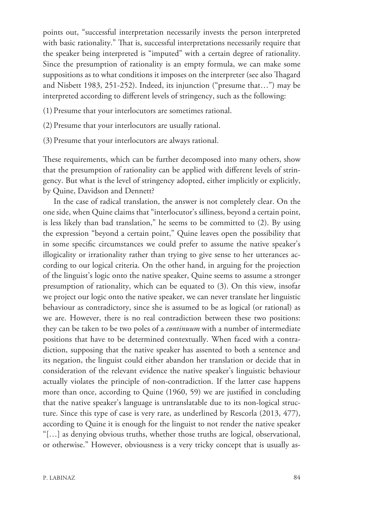points out, "successful interpretation necessarily invests the person interpreted with basic rationality." That is, successful interpretations necessarily require that the speaker being interpreted is "imputed" with a certain degree of rationality. Since the presumption of rationality is an empty formula, we can make some suppositions as to what conditions it imposes on the interpreter (see also Thagard and Nisbett 1983, 251-252). Indeed, its injunction ("presume that…") may be interpreted according to different levels of stringency, such as the following:

(1) Presume that your interlocutors are sometimes rational.

- (2) Presume that your interlocutors are usually rational.
- (3) Presume that your interlocutors are always rational.

These requirements, which can be further decomposed into many others, show that the presumption of rationality can be applied with different levels of stringency. But what is the level of stringency adopted, either implicitly or explicitly, by Quine, Davidson and Dennett?

In the case of radical translation, the answer is not completely clear. On the one side, when Quine claims that "interlocutor's silliness, beyond a certain point, is less likely than bad translation," he seems to be committed to (2). By using the expression "beyond a certain point," Quine leaves open the possibility that in some specific circumstances we could prefer to assume the native speaker's illogicality or irrationality rather than trying to give sense to her utterances according to our logical criteria. On the other hand, in arguing for the projection of the linguist's logic onto the native speaker, Quine seems to assume a stronger presumption of rationality, which can be equated to (3). On this view, insofar we project our logic onto the native speaker, we can never translate her linguistic behaviour as contradictory, since she is assumed to be as logical (or rational) as we are. However, there is no real contradiction between these two positions: they can be taken to be two poles of a *continuum* with a number of intermediate positions that have to be determined contextually. When faced with a contradiction, supposing that the native speaker has assented to both a sentence and its negation, the linguist could either abandon her translation or decide that in consideration of the relevant evidence the native speaker's linguistic behaviour actually violates the principle of non-contradiction. If the latter case happens more than once, according to Quine (1960, 59) we are justified in concluding that the native speaker's language is untranslatable due to its non-logical structure. Since this type of case is very rare, as underlined by Rescorla (2013, 477), according to Quine it is enough for the linguist to not render the native speaker "[…] as denying obvious truths, whether those truths are logical, observational, or otherwise." However, obviousness is a very tricky concept that is usually as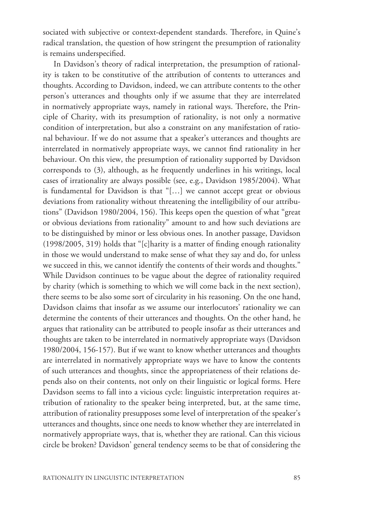sociated with subjective or context-dependent standards. Therefore, in Quine's radical translation, the question of how stringent the presumption of rationality is remains underspecified.

In Davidson's theory of radical interpretation, the presumption of rationality is taken to be constitutive of the attribution of contents to utterances and thoughts. According to Davidson, indeed, we can attribute contents to the other person's utterances and thoughts only if we assume that they are interrelated in normatively appropriate ways, namely in rational ways. Therefore, the Principle of Charity, with its presumption of rationality, is not only a normative condition of interpretation, but also a constraint on any manifestation of rational behaviour. If we do not assume that a speaker's utterances and thoughts are interrelated in normatively appropriate ways, we cannot find rationality in her behaviour. On this view, the presumption of rationality supported by Davidson corresponds to (3), although, as he frequently underlines in his writings, local cases of irrationality are always possible (see, e.g., Davidson 1985/2004). What is fundamental for Davidson is that "[…] we cannot accept great or obvious deviations from rationality without threatening the intelligibility of our attributions" (Davidson 1980/2004, 156). This keeps open the question of what "great or obvious deviations from rationality" amount to and how such deviations are to be distinguished by minor or less obvious ones. In another passage, Davidson (1998/2005, 319) holds that "[c]harity is a matter of finding enough rationality in those we would understand to make sense of what they say and do, for unless we succeed in this, we cannot identify the contents of their words and thoughts." While Davidson continues to be vague about the degree of rationality required by charity (which is something to which we will come back in the next section), there seems to be also some sort of circularity in his reasoning. On the one hand, Davidson claims that insofar as we assume our interlocutors' rationality we can determine the contents of their utterances and thoughts. On the other hand, he argues that rationality can be attributed to people insofar as their utterances and thoughts are taken to be interrelated in normatively appropriate ways (Davidson 1980/2004, 156-157). But if we want to know whether utterances and thoughts are interrelated in normatively appropriate ways we have to know the contents of such utterances and thoughts, since the appropriateness of their relations depends also on their contents, not only on their linguistic or logical forms. Here Davidson seems to fall into a vicious cycle: linguistic interpretation requires attribution of rationality to the speaker being interpreted, but, at the same time, attribution of rationality presupposes some level of interpretation of the speaker's utterances and thoughts, since one needs to know whether they are interrelated in normatively appropriate ways, that is, whether they are rational. Can this vicious circle be broken? Davidson' general tendency seems to be that of considering the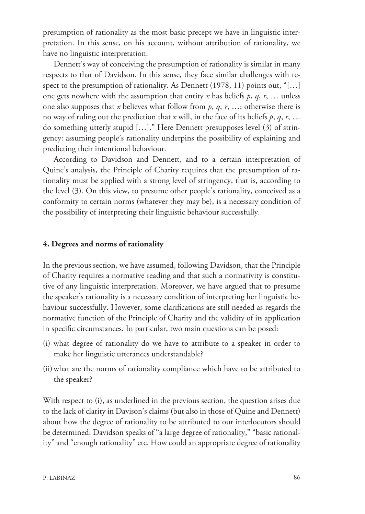presumption of rationality as the most basic precept we have in linguistic interpretation. In this sense, on his account, without attribution of rationality, we have no linguistic interpretation.

Dennett's way of conceiving the presumption of rationality is similar in many respects to that of Davidson. In this sense, they face similar challenges with respect to the presumption of rationality. As Dennett (1978, 11) points out, "[...] one gets nowhere with the assumption that entity *x* has beliefs  $p$ ,  $q$ ,  $r$ , ... unless one also supposes that *x* believes what follow from *p*, *q*, *r*, …; otherwise there is no way of ruling out the prediction that *x* will, in the face of its beliefs  $p, q, r, ...$ do something utterly stupid […]." Here Dennett presupposes level (3) of stringency: assuming people's rationality underpins the possibility of explaining and predicting their intentional behaviour.

According to Davidson and Dennett, and to a certain interpretation of Quine's analysis, the Principle of Charity requires that the presumption of rationality must be applied with a strong level of stringency, that is, according to the level (3). On this view, to presume other people's rationality, conceived as a conformity to certain norms (whatever they may be), is a necessary condition of the possibility of interpreting their linguistic behaviour successfully.

#### **4. Degrees and norms of rationality**

In the previous section, we have assumed, following Davidson, that the Principle of Charity requires a normative reading and that such a normativity is constitutive of any linguistic interpretation. Moreover, we have argued that to presume the speaker's rationality is a necessary condition of interpreting her linguistic behaviour successfully. However, some clarifications are still needed as regards the normative function of the Principle of Charity and the validity of its application in specific circumstances. In particular, two main questions can be posed:

- (i) what degree of rationality do we have to attribute to a speaker in order to make her linguistic utterances understandable?
- (ii)what are the norms of rationality compliance which have to be attributed to the speaker?

With respect to (i), as underlined in the previous section, the question arises due to the lack of clarity in Davison's claims (but also in those of Quine and Dennett) about how the degree of rationality to be attributed to our interlocutors should be determined: Davidson speaks of "a large degree of rationality," "basic rationality" and "enough rationality" etc. How could an appropriate degree of rationality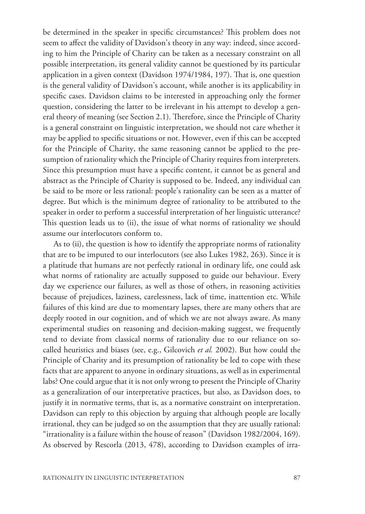be determined in the speaker in specific circumstances? This problem does not seem to affect the validity of Davidson's theory in any way: indeed, since according to him the Principle of Charity can be taken as a necessary constraint on all possible interpretation, its general validity cannot be questioned by its particular application in a given context (Davidson 1974/1984, 197). That is, one question is the general validity of Davidson's account, while another is its applicability in specific cases. Davidson claims to be interested in approaching only the former question, considering the latter to be irrelevant in his attempt to develop a general theory of meaning (see Section 2.1). Therefore, since the Principle of Charity is a general constraint on linguistic interpretation, we should not care whether it may be applied to specific situations or not. However, even if this can be accepted for the Principle of Charity, the same reasoning cannot be applied to the presumption of rationality which the Principle of Charity requires from interpreters. Since this presumption must have a specific content, it cannot be as general and abstract as the Principle of Charity is supposed to be. Indeed, any individual can be said to be more or less rational: people's rationality can be seen as a matter of degree. But which is the minimum degree of rationality to be attributed to the speaker in order to perform a successful interpretation of her linguistic utterance? This question leads us to (ii), the issue of what norms of rationality we should assume our interlocutors conform to.

As to (ii), the question is how to identify the appropriate norms of rationality that are to be imputed to our interlocutors (see also Lukes 1982, 263). Since it is a platitude that humans are not perfectly rational in ordinary life, one could ask what norms of rationality are actually supposed to guide our behaviour. Every day we experience our failures, as well as those of others, in reasoning activities because of prejudices, laziness, carelessness, lack of time, inattention etc. While failures of this kind are due to momentary lapses, there are many others that are deeply rooted in our cognition, and of which we are not always aware. As many experimental studies on reasoning and decision-making suggest, we frequently tend to deviate from classical norms of rationality due to our reliance on socalled heuristics and biases (see, e.g., Gilcovich *et al.* 2002). But how could the Principle of Charity and its presumption of rationality be led to cope with these facts that are apparent to anyone in ordinary situations, as well as in experimental labs? One could argue that it is not only wrong to present the Principle of Charity as a generalization of our interpretative practices, but also, as Davidson does, to justify it in normative terms, that is, as a normative constraint on interpretation. Davidson can reply to this objection by arguing that although people are locally irrational, they can be judged so on the assumption that they are usually rational: "irrationality is a failure within the house of reason" (Davidson 1982/2004, 169). As observed by Rescorla (2013, 478), according to Davidson examples of irra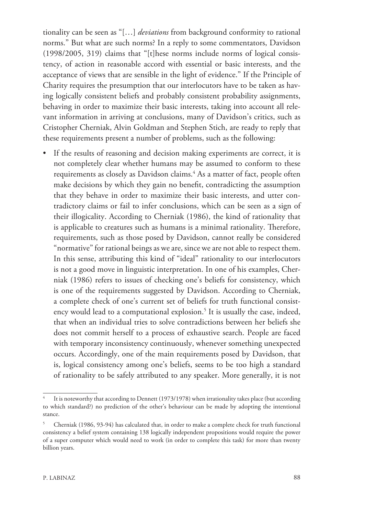tionality can be seen as "[…] *deviations* from background conformity to rational norms." But what are such norms? In a reply to some commentators, Davidson (1998/2005, 319) claims that "[t]hese norms include norms of logical consistency, of action in reasonable accord with essential or basic interests, and the acceptance of views that are sensible in the light of evidence." If the Principle of Charity requires the presumption that our interlocutors have to be taken as having logically consistent beliefs and probably consistent probability assignments, behaving in order to maximize their basic interests, taking into account all relevant information in arriving at conclusions, many of Davidson's critics, such as Cristopher Cherniak, Alvin Goldman and Stephen Stich, are ready to reply that these requirements present a number of problems, such as the following:

• If the results of reasoning and decision making experiments are correct, it is not completely clear whether humans may be assumed to conform to these requirements as closely as Davidson claims.4 As a matter of fact, people often make decisions by which they gain no benefit, contradicting the assumption that they behave in order to maximize their basic interests, and utter contradictory claims or fail to infer conclusions, which can be seen as a sign of their illogicality. According to Cherniak (1986), the kind of rationality that is applicable to creatures such as humans is a minimal rationality. Therefore, requirements, such as those posed by Davidson, cannot really be considered "normative" for rational beings as we are, since we are not able to respect them. In this sense, attributing this kind of "ideal" rationality to our interlocutors is not a good move in linguistic interpretation. In one of his examples, Cherniak (1986) refers to issues of checking one's beliefs for consistency, which is one of the requirements suggested by Davidson. According to Cherniak, a complete check of one's current set of beliefs for truth functional consistency would lead to a computational explosion.5 It is usually the case, indeed, that when an individual tries to solve contradictions between her beliefs she does not commit herself to a process of exhaustive search. People are faced with temporary inconsistency continuously, whenever something unexpected occurs. Accordingly, one of the main requirements posed by Davidson, that is, logical consistency among one's beliefs, seems to be too high a standard of rationality to be safely attributed to any speaker. More generally, it is not

<sup>4</sup> It is noteworthy that according to Dennett (1973/1978) when irrationality takes place (but according to which standard?) no prediction of the other's behaviour can be made by adopting the intentional stance.

<sup>5</sup> Cherniak (1986, 93-94) has calculated that, in order to make a complete check for truth functional consistency a belief system containing 138 logically independent propositions would require the power of a super computer which would need to work (in order to complete this task) for more than twenty billion years.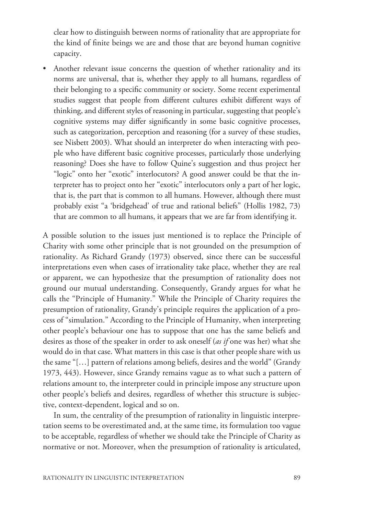clear how to distinguish between norms of rationality that are appropriate for the kind of finite beings we are and those that are beyond human cognitive capacity.

Another relevant issue concerns the question of whether rationality and its norms are universal, that is, whether they apply to all humans, regardless of their belonging to a specific community or society. Some recent experimental studies suggest that people from different cultures exhibit different ways of thinking, and different styles of reasoning in particular, suggesting that people's cognitive systems may differ significantly in some basic cognitive processes, such as categorization, perception and reasoning (for a survey of these studies, see Nisbett 2003). What should an interpreter do when interacting with people who have different basic cognitive processes, particularly those underlying reasoning? Does she have to follow Quine's suggestion and thus project her "logic" onto her "exotic" interlocutors? A good answer could be that the interpreter has to project onto her "exotic" interlocutors only a part of her logic, that is, the part that is common to all humans. However, although there must probably exist "a 'bridgehead' of true and rational beliefs" (Hollis 1982, 73) that are common to all humans, it appears that we are far from identifying it.

A possible solution to the issues just mentioned is to replace the Principle of Charity with some other principle that is not grounded on the presumption of rationality. As Richard Grandy (1973) observed, since there can be successful interpretations even when cases of irrationality take place, whether they are real or apparent, we can hypothesize that the presumption of rationality does not ground our mutual understanding. Consequently, Grandy argues for what he calls the "Principle of Humanity." While the Principle of Charity requires the presumption of rationality, Grandy's principle requires the application of a process of "simulation." According to the Principle of Humanity, when interpreting other people's behaviour one has to suppose that one has the same beliefs and desires as those of the speaker in order to ask oneself (*as if* one was her) what she would do in that case. What matters in this case is that other people share with us the same "[…] pattern of relations among beliefs, desires and the world" (Grandy 1973, 443). However, since Grandy remains vague as to what such a pattern of relations amount to, the interpreter could in principle impose any structure upon other people's beliefs and desires, regardless of whether this structure is subjective, context-dependent, logical and so on.

In sum, the centrality of the presumption of rationality in linguistic interpretation seems to be overestimated and, at the same time, its formulation too vague to be acceptable, regardless of whether we should take the Principle of Charity as normative or not. Moreover, when the presumption of rationality is articulated,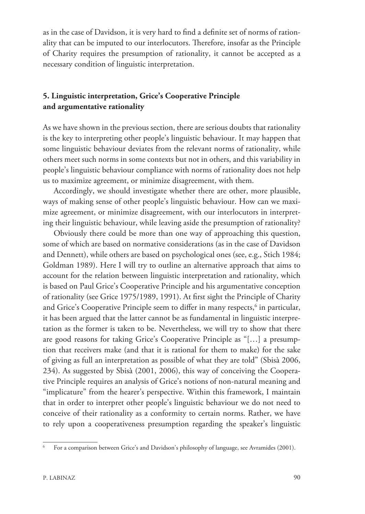as in the case of Davidson, it is very hard to find a definite set of norms of rationality that can be imputed to our interlocutors. Therefore, insofar as the Principle of Charity requires the presumption of rationality, it cannot be accepted as a necessary condition of linguistic interpretation.

# **5. Linguistic interpretation, Grice's Cooperative Principle and argumentative rationality**

As we have shown in the previous section, there are serious doubts that rationality is the key to interpreting other people's linguistic behaviour. It may happen that some linguistic behaviour deviates from the relevant norms of rationality, while others meet such norms in some contexts but not in others, and this variability in people's linguistic behaviour compliance with norms of rationality does not help us to maximize agreement, or minimize disagreement, with them.

Accordingly, we should investigate whether there are other, more plausible, ways of making sense of other people's linguistic behaviour. How can we maximize agreement, or minimize disagreement, with our interlocutors in interpreting their linguistic behaviour, while leaving aside the presumption of rationality?

Obviously there could be more than one way of approaching this question, some of which are based on normative considerations (as in the case of Davidson and Dennett), while others are based on psychological ones (see, e.g., Stich 1984; Goldman 1989). Here I will try to outline an alternative approach that aims to account for the relation between linguistic interpretation and rationality, which is based on Paul Grice's Cooperative Principle and his argumentative conception of rationality (see Grice 1975/1989, 1991). At first sight the Principle of Charity and Grice's Cooperative Principle seem to differ in many respects,<sup>6</sup> in particular, it has been argued that the latter cannot be as fundamental in linguistic interpretation as the former is taken to be. Nevertheless, we will try to show that there are good reasons for taking Grice's Cooperative Principle as "[…] a presumption that receivers make (and that it is rational for them to make) for the sake of giving as full an interpretation as possible of what they are told" (Sbisà 2006, 234). As suggested by Sbisà (2001, 2006), this way of conceiving the Cooperative Principle requires an analysis of Grice's notions of non-natural meaning and "implicature" from the hearer's perspective. Within this framework, I maintain that in order to interpret other people's linguistic behaviour we do not need to conceive of their rationality as a conformity to certain norms. Rather, we have to rely upon a cooperativeness presumption regarding the speaker's linguistic

For a comparison between Grice's and Davidson's philosophy of language, see Avramides (2001).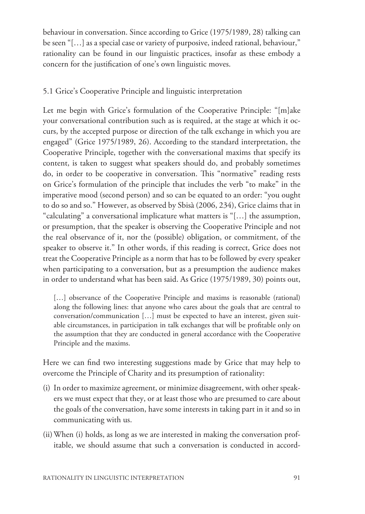behaviour in conversation. Since according to Grice (1975/1989, 28) talking can be seen "[…] as a special case or variety of purposive, indeed rational, behaviour," rationality can be found in our linguistic practices, insofar as these embody a concern for the justification of one's own linguistic moves.

### 5.1 Grice's Cooperative Principle and linguistic interpretation

Let me begin with Grice's formulation of the Cooperative Principle: "[m]ake your conversational contribution such as is required, at the stage at which it occurs, by the accepted purpose or direction of the talk exchange in which you are engaged" (Grice 1975/1989, 26). According to the standard interpretation, the Cooperative Principle, together with the conversational maxims that specify its content, is taken to suggest what speakers should do, and probably sometimes do, in order to be cooperative in conversation. This "normative" reading rests on Grice's formulation of the principle that includes the verb "to make" in the imperative mood (second person) and so can be equated to an order: "you ought to do so and so." However, as observed by Sbisà (2006, 234), Grice claims that in "calculating" a conversational implicature what matters is "[…] the assumption, or presumption, that the speaker is observing the Cooperative Principle and not the real observance of it, nor the (possible) obligation, or commitment, of the speaker to observe it." In other words, if this reading is correct, Grice does not treat the Cooperative Principle as a norm that has to be followed by every speaker when participating to a conversation, but as a presumption the audience makes in order to understand what has been said. As Grice (1975/1989, 30) points out,

[...] observance of the Cooperative Principle and maxims is reasonable (rational) along the following lines: that anyone who cares about the goals that are central to conversation/communication […] must be expected to have an interest, given suitable circumstances, in participation in talk exchanges that will be profitable only on the assumption that they are conducted in general accordance with the Cooperative Principle and the maxims.

Here we can find two interesting suggestions made by Grice that may help to overcome the Principle of Charity and its presumption of rationality:

- (i) In order to maximize agreement, or minimize disagreement, with other speakers we must expect that they, or at least those who are presumed to care about the goals of the conversation, have some interests in taking part in it and so in communicating with us.
- (ii)When (i) holds, as long as we are interested in making the conversation profitable, we should assume that such a conversation is conducted in accord-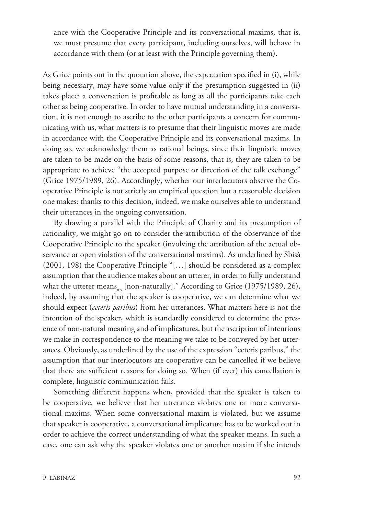ance with the Cooperative Principle and its conversational maxims, that is, we must presume that every participant, including ourselves, will behave in accordance with them (or at least with the Principle governing them).

As Grice points out in the quotation above, the expectation specified in (i), while being necessary, may have some value only if the presumption suggested in (ii) takes place: a conversation is profitable as long as all the participants take each other as being cooperative. In order to have mutual understanding in a conversation, it is not enough to ascribe to the other participants a concern for communicating with us, what matters is to presume that their linguistic moves are made in accordance with the Cooperative Principle and its conversational maxims. In doing so, we acknowledge them as rational beings, since their linguistic moves are taken to be made on the basis of some reasons, that is, they are taken to be appropriate to achieve "the accepted purpose or direction of the talk exchange" (Grice 1975/1989, 26). Accordingly, whether our interlocutors observe the Cooperative Principle is not strictly an empirical question but a reasonable decision one makes: thanks to this decision, indeed, we make ourselves able to understand their utterances in the ongoing conversation.

By drawing a parallel with the Principle of Charity and its presumption of rationality, we might go on to consider the attribution of the observance of the Cooperative Principle to the speaker (involving the attribution of the actual observance or open violation of the conversational maxims). As underlined by Sbisà (2001, 198) the Cooperative Principle "[…] should be considered as a complex assumption that the audience makes about an utterer, in order to fully understand what the utterer means<sub>nn</sub> [non-naturally]." According to Grice (1975/1989, 26), indeed, by assuming that the speaker is cooperative, we can determine what we should expect (*ceteris paribus*) from her utterances. What matters here is not the intention of the speaker, which is standardly considered to determine the presence of non-natural meaning and of implicatures, but the ascription of intentions we make in correspondence to the meaning we take to be conveyed by her utterances. Obviously, as underlined by the use of the expression "ceteris paribus," the assumption that our interlocutors are cooperative can be cancelled if we believe that there are sufficient reasons for doing so. When (if ever) this cancellation is complete, linguistic communication fails.

Something different happens when, provided that the speaker is taken to be cooperative, we believe that her utterance violates one or more conversational maxims. When some conversational maxim is violated, but we assume that speaker is cooperative, a conversational implicature has to be worked out in order to achieve the correct understanding of what the speaker means. In such a case, one can ask why the speaker violates one or another maxim if she intends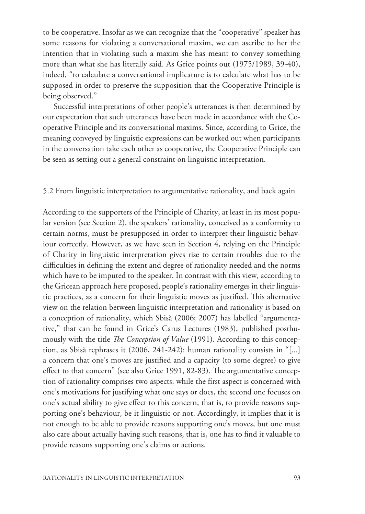to be cooperative. Insofar as we can recognize that the "cooperative" speaker has some reasons for violating a conversational maxim, we can ascribe to her the intention that in violating such a maxim she has meant to convey something more than what she has literally said. As Grice points out (1975/1989, 39-40), indeed, "to calculate a conversational implicature is to calculate what has to be supposed in order to preserve the supposition that the Cooperative Principle is being observed."

Successful interpretations of other people's utterances is then determined by our expectation that such utterances have been made in accordance with the Cooperative Principle and its conversational maxims. Since, according to Grice, the meaning conveyed by linguistic expressions can be worked out when participants in the conversation take each other as cooperative, the Cooperative Principle can be seen as setting out a general constraint on linguistic interpretation.

#### 5.2 From linguistic interpretation to argumentative rationality, and back again

According to the supporters of the Principle of Charity, at least in its most popular version (see Section 2), the speakers' rationality, conceived as a conformity to certain norms, must be presupposed in order to interpret their linguistic behaviour correctly. However, as we have seen in Section 4, relying on the Principle of Charity in linguistic interpretation gives rise to certain troubles due to the difficulties in defining the extent and degree of rationality needed and the norms which have to be imputed to the speaker. In contrast with this view, according to the Gricean approach here proposed, people's rationality emerges in their linguistic practices, as a concern for their linguistic moves as justified. This alternative view on the relation between linguistic interpretation and rationality is based on a conception of rationality, which Sbisà (2006; 2007) has labelled "argumentative," that can be found in Grice's Carus Lectures (1983), published posthumously with the title *The Conception of Value* (1991). According to this conception, as Sbisà rephrases it (2006, 241-242): human rationality consists in "[...] a concern that one's moves are justified and a capacity (to some degree) to give effect to that concern" (see also Grice 1991, 82-83). The argumentative conception of rationality comprises two aspects: while the first aspect is concerned with one's motivations for justifying what one says or does, the second one focuses on one's actual ability to give effect to this concern, that is, to provide reasons supporting one's behaviour, be it linguistic or not. Accordingly, it implies that it is not enough to be able to provide reasons supporting one's moves, but one must also care about actually having such reasons, that is, one has to find it valuable to provide reasons supporting one's claims or actions.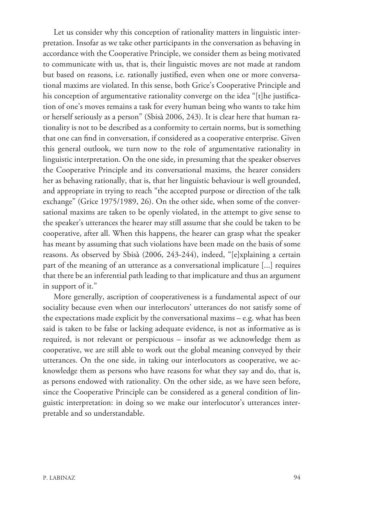Let us consider why this conception of rationality matters in linguistic interpretation. Insofar as we take other participants in the conversation as behaving in accordance with the Cooperative Principle, we consider them as being motivated to communicate with us, that is, their linguistic moves are not made at random but based on reasons, i.e. rationally justified, even when one or more conversational maxims are violated. In this sense, both Grice's Cooperative Principle and his conception of argumentative rationality converge on the idea "[t]he justification of one's moves remains a task for every human being who wants to take him or herself seriously as a person" (Sbisà 2006, 243). It is clear here that human rationality is not to be described as a conformity to certain norms, but is something that one can find in conversation, if considered as a cooperative enterprise. Given this general outlook, we turn now to the role of argumentative rationality in linguistic interpretation. On the one side, in presuming that the speaker observes the Cooperative Principle and its conversational maxims, the hearer considers her as behaving rationally, that is, that her linguistic behaviour is well grounded, and appropriate in trying to reach "the accepted purpose or direction of the talk exchange" (Grice 1975/1989, 26). On the other side, when some of the conversational maxims are taken to be openly violated, in the attempt to give sense to the speaker's utterances the hearer may still assume that she could be taken to be cooperative, after all. When this happens, the hearer can grasp what the speaker has meant by assuming that such violations have been made on the basis of some reasons. As observed by Sbisà (2006, 243-244), indeed, "[e]xplaining a certain part of the meaning of an utterance as a conversational implicature [...] requires that there be an inferential path leading to that implicature and thus an argument in support of it."

More generally, ascription of cooperativeness is a fundamental aspect of our sociality because even when our interlocutors' utterances do not satisfy some of the expectations made explicit by the conversational maxims – e.g. what has been said is taken to be false or lacking adequate evidence, is not as informative as is required, is not relevant or perspicuous – insofar as we acknowledge them as cooperative, we are still able to work out the global meaning conveyed by their utterances. On the one side, in taking our interlocutors as cooperative, we acknowledge them as persons who have reasons for what they say and do, that is, as persons endowed with rationality. On the other side, as we have seen before, since the Cooperative Principle can be considered as a general condition of linguistic interpretation: in doing so we make our interlocutor's utterances interpretable and so understandable.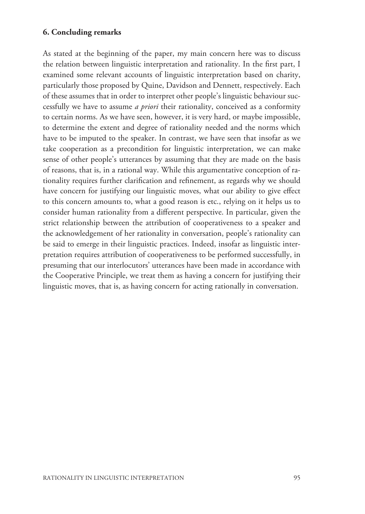## **6. Concluding remarks**

As stated at the beginning of the paper, my main concern here was to discuss the relation between linguistic interpretation and rationality. In the first part, I examined some relevant accounts of linguistic interpretation based on charity, particularly those proposed by Quine, Davidson and Dennett, respectively. Each of these assumes that in order to interpret other people's linguistic behaviour successfully we have to assume *a priori* their rationality, conceived as a conformity to certain norms. As we have seen, however, it is very hard, or maybe impossible, to determine the extent and degree of rationality needed and the norms which have to be imputed to the speaker. In contrast, we have seen that insofar as we take cooperation as a precondition for linguistic interpretation, we can make sense of other people's utterances by assuming that they are made on the basis of reasons, that is, in a rational way. While this argumentative conception of rationality requires further clarification and refinement, as regards why we should have concern for justifying our linguistic moves, what our ability to give effect to this concern amounts to, what a good reason is etc., relying on it helps us to consider human rationality from a different perspective. In particular, given the strict relationship between the attribution of cooperativeness to a speaker and the acknowledgement of her rationality in conversation, people's rationality can be said to emerge in their linguistic practices. Indeed, insofar as linguistic interpretation requires attribution of cooperativeness to be performed successfully, in presuming that our interlocutors' utterances have been made in accordance with the Cooperative Principle, we treat them as having a concern for justifying their linguistic moves, that is, as having concern for acting rationally in conversation.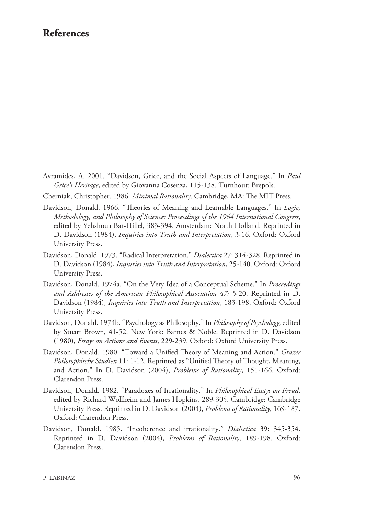# **References**

- Avramides, A. 2001. "Davidson, Grice, and the Social Aspects of Language." In *Paul Grice's Heritage*, edited by Giovanna Cosenza, 115-138. Turnhout: Brepols.
- Cherniak, Christopher. 1986. *Minimal Rationality*. Cambridge, MA: The MIT Press.
- Davidson, Donald. 1966. "Theories of Meaning and Learnable Languages." In *Logic, Methodology, and Philosophy of Science: Proceedings of the 1964 International Congress*, edited by Yehshoua Bar-Hillel, 383-394. Amsterdam: North Holland. Reprinted in D. Davidson (1984), *Inquiries into Truth and Interpretation*, 3-16. Oxford: Oxford University Press.
- Davidson, Donald. 1973. "Radical Interpretation." *Dialectica* 27: 314-328. Reprinted in D. Davidson (1984), *Inquiries into Truth and Interpretation*, 25-140. Oxford: Oxford University Press.
- Davidson, Donald. 1974a. "On the Very Idea of a Conceptual Scheme." In *Proceedings and Addresses of the American Philosophical Association 47:* 5-20. Reprinted in D. Davidson (1984), *Inquiries into Truth and Interpretation*, 183-198. Oxford: Oxford University Press.
- Davidson, Donald. 1974b. "Psychology as Philosophy." In *Philosophy of Psychology,* edited by Stuart Brown, 41-52. New York: Barnes & Noble. Reprinted in D. Davidson (1980), *Essays on Actions and Events*, 229-239. Oxford: Oxford University Press.
- Davidson, Donald. 1980. "Toward a Unified Theory of Meaning and Action." *Grazer Philosophische Studien* 11: 1-12. Reprinted as "Unified Theory of Thought, Meaning, and Action." In D. Davidson (2004), *Problems of Rationality*, 151-166. Oxford: Clarendon Press.
- Davidson, Donald. 1982. "Paradoxes of Irrationality." In *Philosophical Essays on Freud*, edited by Richard Wollheim and James Hopkins, 289-305. Cambridge: Cambridge University Press. Reprinted in D. Davidson (2004), *Problems of Rationality*, 169-187. Oxford: Clarendon Press.
- Davidson, Donald. 1985. "Incoherence and irrationality." *Dialectica* 39: 345-354. Reprinted in D. Davidson (2004), *Problems of Rationality*, 189-198. Oxford: Clarendon Press.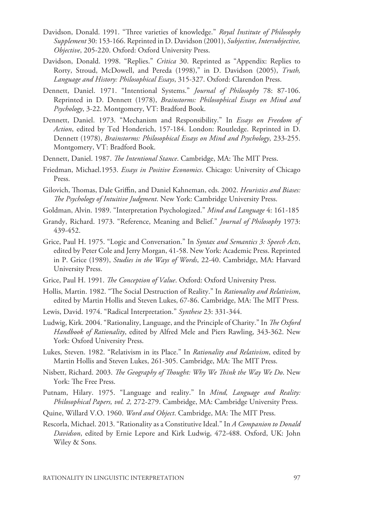- Davidson, Donald. 1991. "Three varieties of knowledge." *Royal Institute of Philosophy Supplement* 30: 153-166. Reprinted in D. Davidson (2001), *Subjective, Intersubjective, Objective*, 205-220. Oxford: Oxford University Press.
- Davidson, Donald. 1998. "Replies." *Crìtica* 30. Reprinted as "Appendix: Replies to Rorty, Stroud, McDowell, and Pereda (1998)," in D. Davidson (2005), *Truth, Language and History: Philosophical Essays*, 315-327. Oxford: Clarendon Press.
- Dennett, Daniel. 1971. "Intentional Systems." *Journal of Philosophy* 78: 87-106. Reprinted in D. Dennett (1978), *Brainstorms: Philosophical Essays on Mind and Psychology*, 3-22. Montgomery, VT: Bradford Book.
- Dennett, Daniel. 1973. "Mechanism and Responsibility." In *Essays on Freedom of Action*, edited by Ted Honderich, 157-184. London: Routledge. Reprinted in D. Dennett (1978), *Brainstorms: Philosophical Essays on Mind and Psychology*, 233-255. Montgomery, VT: Bradford Book.
- Dennett, Daniel. 1987. *The Intentional Stance*. Cambridge, MA: The MIT Press.
- Friedman, Michael.1953. *Essays in Positive Economics*. Chicago: University of Chicago Press.
- Gilovich, Thomas, Dale Griffin, and Daniel Kahneman, eds. 2002. *Heuristics and Biases: The Psychology of Intuitive Judgment*. New York: Cambridge University Press.
- Goldman, Alvin. 1989. "Interpretation Psychologized." *Mind and Language* 4: 161-185
- Grandy, Richard. 1973. "Reference, Meaning and Belief." *Journal of Philosophy* 1973: 439-452.
- Grice, Paul H. 1975. "Logic and Conversation." In *Syntax and Semantics 3: Speech Acts*, edited by Peter Cole and Jerry Morgan, 41-58. New York: Academic Press. Reprinted in P. Grice (1989), *Studies in the Ways of Words*, 22-40. Cambridge, MA: Harvard University Press.
- Grice, Paul H. 1991. *The Conception of Value*. Oxford: Oxford University Press.
- Hollis, Martin. 1982. "The Social Destruction of Reality." In *Rationality and Relativism*, edited by Martin Hollis and Steven Lukes, 67-86. Cambridge, MA: The MIT Press.
- Lewis, David. 1974. "Radical Interpretation." *Synthese* 23: 331-344.
- Ludwig, Kirk. 2004. "Rationality, Language, and the Principle of Charity." In *The Oxford Handbook of Rationality*, edited by Alfred Mele and Piers Rawling, 343-362. New York: Oxford University Press.
- Lukes, Steven. 1982. "Relativism in its Place." In *Rationality and Relativism*, edited by Martin Hollis and Steven Lukes, 261-305. Cambridge, MA: The MIT Press.
- Nisbett, Richard. 2003. *The Geography of Thought: Why We Think the Way We Do*. New York: The Free Press.
- Putnam, Hilary. 1975. "Language and reality." In *Mind, Language and Reality: Philosophical Papers, vol. 2,* 272-279. Cambridge, MA: Cambridge University Press.
- Quine, Willard V.O. 1960. *Word and Object*. Cambridge, MA: The MIT Press.
- Rescorla, Michael. 2013. "Rationality as a Constitutive Ideal." In *A Companion to Donald Davidson*, edited by Ernie Lepore and Kirk Ludwig, 472-488. Oxford, UK: John Wiley & Sons.